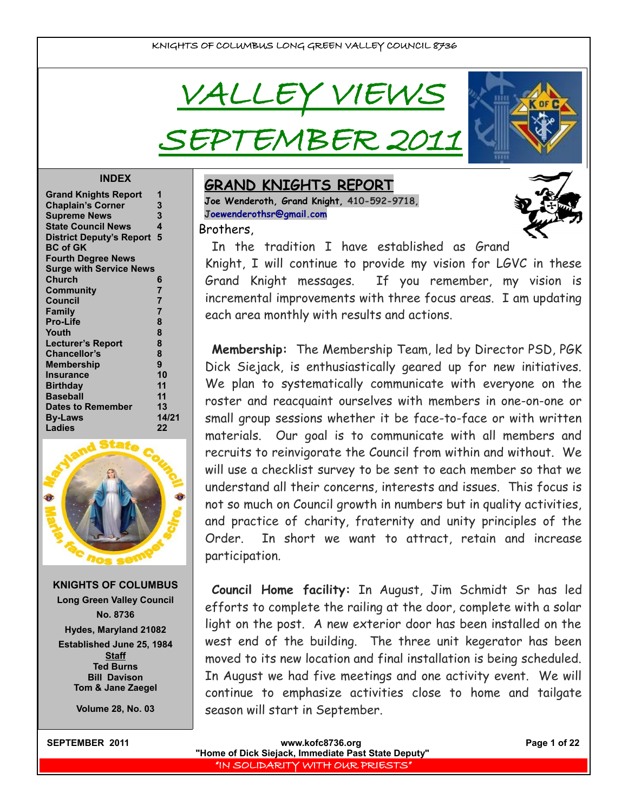VALLEY VIEWS

PTEMBER 20



#### **INDEX**

| <b>Grand Knights Report</b>     | 1              |
|---------------------------------|----------------|
| <b>Chaplain's Corner</b>        | 3              |
| <b>Supreme News</b>             | 3              |
| <b>State Council News</b>       | 4              |
| <b>District Deputy's Report</b> | 5              |
| <b>BC of GK</b>                 |                |
| <b>Fourth Degree News</b>       |                |
| <b>Surge with Service News</b>  |                |
| Church                          | 6              |
| Community                       | 7              |
| <b>Council</b>                  | 7              |
| Family                          | $\overline{7}$ |
| <b>Pro-Life</b>                 | 8              |
| Youth                           | 8              |
| <b>Lecturer's Report</b>        | 8              |
| <b>Chancellor's</b>             | 8              |
| <b>Membership</b>               | 9              |
| <b>Insurance</b>                | 10             |
| <b>Birthday</b>                 | 11             |
| <b>Baseball</b>                 | 11             |
| <b>Dates to Remember</b>        | 13             |
| <b>By-Laws</b>                  | 14/21          |
| <b>Ladies</b>                   | 22             |
|                                 |                |



**KNIGHTS OF COLUMBUS Long Green Valley Council No. 8736 Hydes, Maryland 21082 Established June 25, 1984 Staff Ted Burns Bill Davison Tom & Jane Zaegel**

**Volume 28, No. 03**

## **GRAND KNIGHTS REPORT Joe Wenderoth, Grand Knight, 410-592-9718,**

**[Joewenderothsr@gmail.com](mailto:joewenderothsr@gmail.com)** Brothers,



In the tradition I have established as Grand Knight, I will continue to provide my vision for LGVC in these Grand Knight messages. If you remember, my vision is incremental improvements with three focus areas. I am updating each area monthly with results and actions.

**Membership:** The Membership Team, led by Director PSD, PGK Dick Siejack, is enthusiastically geared up for new initiatives. We plan to systematically communicate with everyone on the roster and reacquaint ourselves with members in one-on-one or small group sessions whether it be face-to-face or with written materials. Our goal is to communicate with all members and recruits to reinvigorate the Council from within and without. We will use a checklist survey to be sent to each member so that we understand all their concerns, interests and issues. This focus is not so much on Council growth in numbers but in quality activities, and practice of charity, fraternity and unity principles of the Order. In short we want to attract, retain and increase participation.

**Council Home facility:** In August, Jim Schmidt Sr has led efforts to complete the railing at the door, complete with a solar light on the post. A new exterior door has been installed on the west end of the building. The three unit kegerator has been moved to its new location and final installation is being scheduled. In August we had five meetings and one activity event. We will continue to emphasize activities close to home and tailgate season will start in September.

| <b>SEPTEMBER 2011</b> | www.kofc8736.org                                    | Page 1 of 22 |
|-----------------------|-----------------------------------------------------|--------------|
|                       | "Home of Dick Siejack, Immediate Past State Deputy" |              |
|                       | I'IN SOLIDARITY WITH OUR PRIESTS" I                 |              |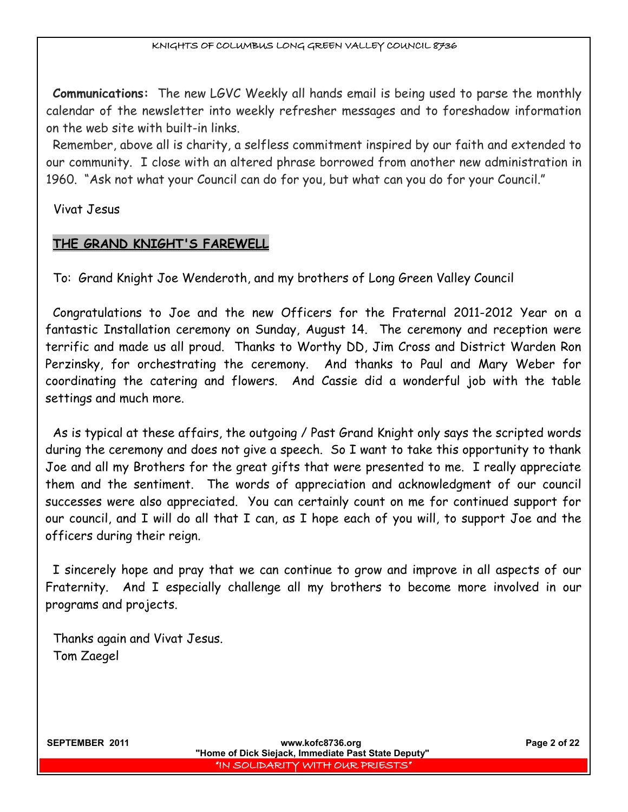**Communications:** The new LGVC Weekly all hands email is being used to parse the monthly calendar of the newsletter into weekly refresher messages and to foreshadow information on the web site with built-in links.

Remember, above all is charity, a selfless commitment inspired by our faith and extended to our community. I close with an altered phrase borrowed from another new administration in 1960. "Ask not what your Council can do for you, but what can you do for your Council."

Vivat Jesus

# **THE GRAND KNIGHT'S FAREWELL**

To: Grand Knight Joe Wenderoth, and my brothers of Long Green Valley Council

Congratulations to Joe and the new Officers for the Fraternal 2011-2012 Year on a fantastic Installation ceremony on Sunday, August 14. The ceremony and reception were terrific and made us all proud. Thanks to Worthy DD, Jim Cross and District Warden Ron Perzinsky, for orchestrating the ceremony. And thanks to Paul and Mary Weber for coordinating the catering and flowers. And Cassie did a wonderful job with the table settings and much more.

As is typical at these affairs, the outgoing / Past Grand Knight only says the scripted words during the ceremony and does not give a speech. So I want to take this opportunity to thank Joe and all my Brothers for the great gifts that were presented to me. I really appreciate them and the sentiment. The words of appreciation and acknowledgment of our council successes were also appreciated. You can certainly count on me for continued support for our council, and I will do all that I can, as I hope each of you will, to support Joe and the officers during their reign.

I sincerely hope and pray that we can continue to grow and improve in all aspects of our Fraternity. And I especially challenge all my brothers to become more involved in our programs and projects.

Thanks again and Vivat Jesus. Tom Zaegel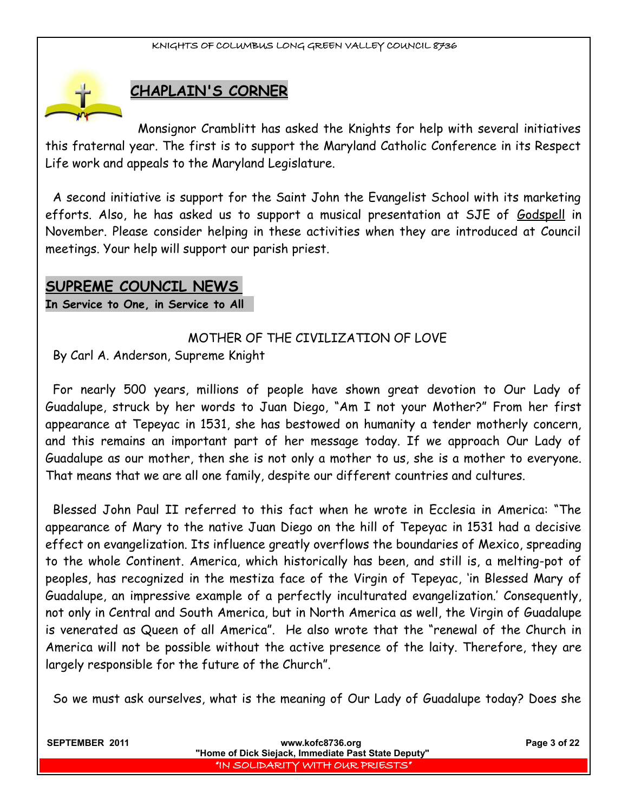

# **CHAPLAIN'S CORNER**

Monsignor Cramblitt has asked the Knights for help with several initiatives this fraternal year. The first is to support the Maryland Catholic Conference in its Respect Life work and appeals to the Maryland Legislature.

A second initiative is support for the Saint John the Evangelist School with its marketing efforts. Also, he has asked us to support a musical presentation at SJE of Godspell in November. Please consider helping in these activities when they are introduced at Council meetings. Your help will support our parish priest.

# **SUPREME COUNCIL NEWS**

**In Service to One, in Service to All** 

# MOTHER OF THE CIVILIZATION OF LOVE

By Carl A. Anderson, Supreme Knight

For nearly 500 years, millions of people have shown great devotion to Our Lady of Guadalupe, struck by her words to Juan Diego, "Am I not your Mother?" From her first appearance at Tepeyac in 1531, she has bestowed on humanity a tender motherly concern, and this remains an important part of her message today. If we approach Our Lady of Guadalupe as our mother, then she is not only a mother to us, she is a mother to everyone. That means that we are all one family, despite our different countries and cultures.

Blessed John Paul II referred to this fact when he wrote in Ecclesia in America: "The appearance of Mary to the native Juan Diego on the hill of Tepeyac in 1531 had a decisive effect on evangelization. Its influence greatly overflows the boundaries of Mexico, spreading to the whole Continent. America, which historically has been, and still is, a melting-pot of peoples, has recognized in the mestiza face of the Virgin of Tepeyac, 'in Blessed Mary of Guadalupe, an impressive example of a perfectly inculturated evangelization.' Consequently, not only in Central and South America, but in North America as well, the Virgin of Guadalupe is venerated as Queen of all America". He also wrote that the "renewal of the Church in America will not be possible without the active presence of the laity. Therefore, they are largely responsible for the future of the Church".

So we must ask ourselves, what is the meaning of Our Lady of Guadalupe today? Does she

| <b>SEPTEMBER 2011</b> | www.kofc8736.org<br>"Home of Dick Siejack, Immediate Past State Deputy" | Page 3 of 22 |
|-----------------------|-------------------------------------------------------------------------|--------------|
|                       | I'IN SOLIDARITY WITH OUR PRIESTS"                                       |              |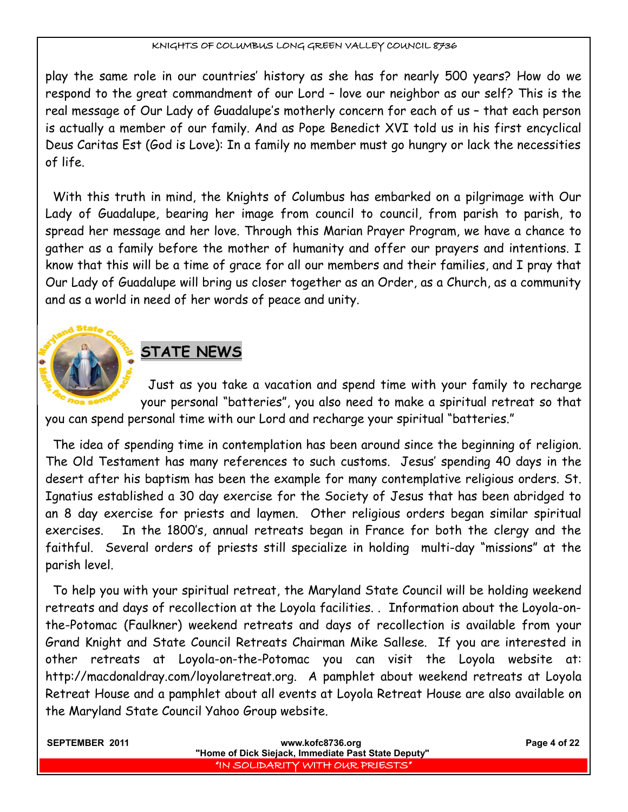play the same role in our countries' history as she has for nearly 500 years? How do we respond to the great commandment of our Lord – love our neighbor as our self? This is the real message of Our Lady of Guadalupe's motherly concern for each of us – that each person is actually a member of our family. And as Pope Benedict XVI told us in his first encyclical Deus Caritas Est (God is Love): In a family no member must go hungry or lack the necessities of life.

With this truth in mind, the Knights of Columbus has embarked on a pilgrimage with Our Lady of Guadalupe, bearing her image from council to council, from parish to parish, to spread her message and her love. Through this Marian Prayer Program, we have a chance to gather as a family before the mother of humanity and offer our prayers and intentions. I know that this will be a time of grace for all our members and their families, and I pray that Our Lady of Guadalupe will bring us closer together as an Order, as a Church, as a community and as a world in need of her words of peace and unity.



# **STATE NEWS**

Just as you take a vacation and spend time with your family to recharge your personal "batteries", you also need to make a spiritual retreat so that you can spend personal time with our Lord and recharge your spiritual "batteries."

The idea of spending time in contemplation has been around since the beginning of religion. The Old Testament has many references to such customs. Jesus' spending 40 days in the desert after his baptism has been the example for many contemplative religious orders. St. Ignatius established a 30 day exercise for the Society of Jesus that has been abridged to an 8 day exercise for priests and laymen. Other religious orders began similar spiritual exercises. In the 1800's, annual retreats began in France for both the clergy and the faithful. Several orders of priests still specialize in holding multi-day "missions" at the parish level.

To help you with your spiritual retreat, the Maryland State Council will be holding weekend retreats and days of recollection at the Loyola facilities. . Information about the Loyola-onthe-Potomac (Faulkner) weekend retreats and days of recollection is available from your Grand Knight and State Council Retreats Chairman Mike Sallese. If you are interested in other retreats at Loyola-on-the-Potomac you can visit the Loyola website at: http://macdonaldray.com/loyolaretreat.org. A pamphlet about weekend retreats at Loyola Retreat House and a pamphlet about all events at Loyola Retreat House are also available on the Maryland State Council Yahoo Group website.

| <b>SEPTEMBER 2011</b> | www.kofc8736.org                                    | Page 4 of 22 |
|-----------------------|-----------------------------------------------------|--------------|
|                       | "Home of Dick Siejack, Immediate Past State Deputy" |              |
|                       | I "IN SOLIDARITY WITH OUR PRIESTS" I                |              |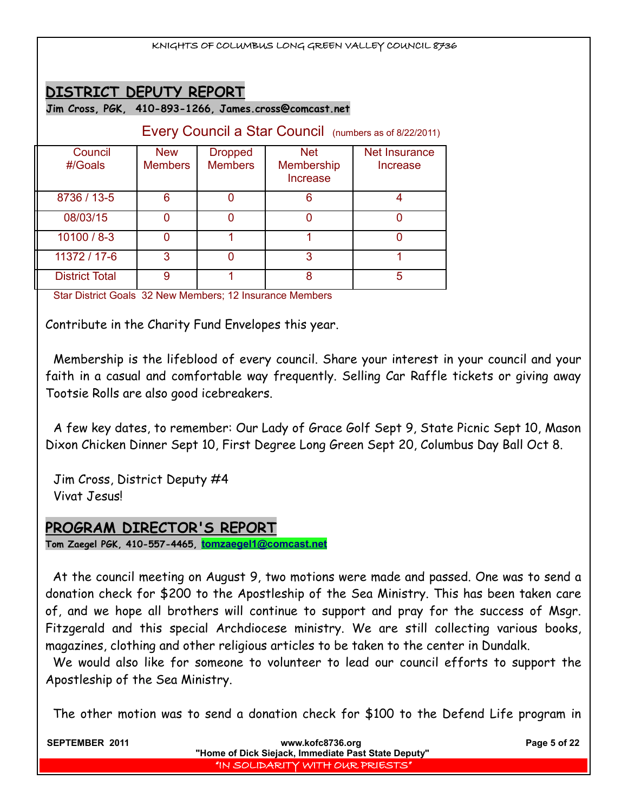|                                                                                 |                              |                                  |                                             | KNIGHTS OF COLUMBUS LONG GREEN VALLEY COUNCIL 8736     |
|---------------------------------------------------------------------------------|------------------------------|----------------------------------|---------------------------------------------|--------------------------------------------------------|
| DISTRICT DEPUTY REPORT<br>Jim Cross, PGK, 410-893-1266, James.cross@comcast.net |                              |                                  |                                             |                                                        |
|                                                                                 |                              |                                  |                                             | Every Council a Star Council (numbers as of 8/22/2011) |
| Council<br>$\#$ Goals                                                           | <b>New</b><br><b>Members</b> | <b>Dropped</b><br><b>Members</b> | <b>Net</b><br><b>Membership</b><br>Increase | Net Insurance<br>Increase                              |
| 8736 / 13-5                                                                     | 6                            | 0                                | 6                                           | 4                                                      |
| 08/03/15                                                                        | $\Omega$                     | 0                                | 0                                           | $\Omega$                                               |
| $10100 / 8 - 3$                                                                 | $\Omega$                     |                                  |                                             | $\Omega$                                               |
| 11372 / 17-6                                                                    | 3                            | $\Omega$                         | 3                                           | 1                                                      |
| <b>District Total</b>                                                           | 9                            |                                  | 8                                           | 5                                                      |

Star District Goals 32 New Members; 12 Insurance Members

Contribute in the Charity Fund Envelopes this year.

Membership is the lifeblood of every council. Share your interest in your council and your faith in a casual and comfortable way frequently. Selling Car Raffle tickets or giving away Tootsie Rolls are also good icebreakers.

A few key dates, to remember: Our Lady of Grace Golf Sept 9, State Picnic Sept 10, Mason Dixon Chicken Dinner Sept 10, First Degree Long Green Sept 20, Columbus Day Ball Oct 8.

Jim Cross, District Deputy #4 Vivat Jesus!

# **PROGRAM DIRECTOR'S REPORT**

**Tom Zaegel PGK, 410-557-4465, [tomzaegel1@comcast.net](mailto:tomzaegel1@comcast.net)**

At the council meeting on August 9, two motions were made and passed. One was to send a donation check for \$200 to the Apostleship of the Sea Ministry. This has been taken care of, and we hope all brothers will continue to support and pray for the success of Msgr. Fitzgerald and this special Archdiocese ministry. We are still collecting various books, magazines, clothing and other religious articles to be taken to the center in Dundalk.

We would also like for someone to volunteer to lead our council efforts to support the Apostleship of the Sea Ministry.

The other motion was to send a donation check for \$100 to the Defend Life program in

| SEPTEMBER 2011 | www.kofc8736.org                                    | Page 5 of 22 |
|----------------|-----------------------------------------------------|--------------|
|                | "Home of Dick Siejack, Immediate Past State Deputy" |              |
|                | I "IN SOLIDARITY WITH OUR PRIESTS" I                |              |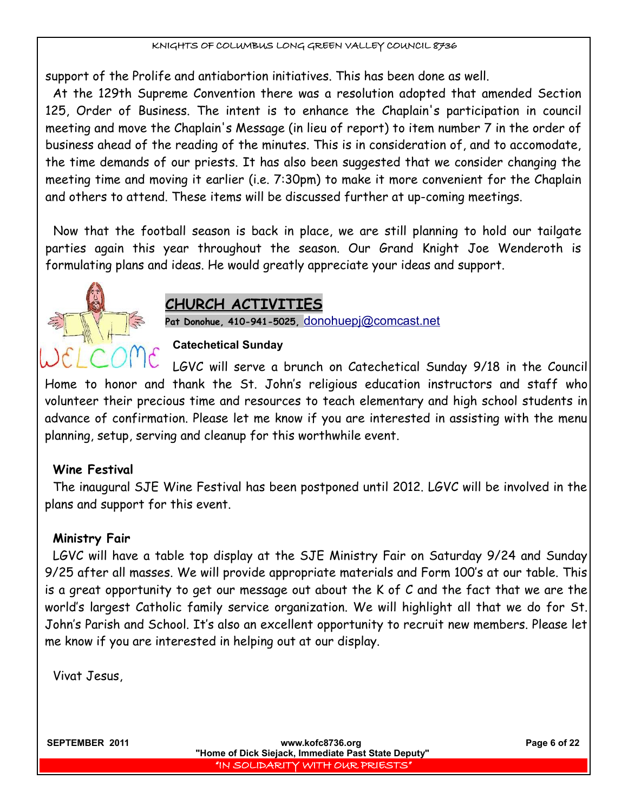support of the Prolife and antiabortion initiatives. This has been done as well.

At the 129th Supreme Convention there was a resolution adopted that amended Section 125, Order of Business. The intent is to enhance the Chaplain's participation in council meeting and move the Chaplain's Message (in lieu of report) to item number 7 in the order of business ahead of the reading of the minutes. This is in consideration of, and to accomodate, the time demands of our priests. It has also been suggested that we consider changing the meeting time and moving it earlier (i.e. 7:30pm) to make it more convenient for the Chaplain and others to attend. These items will be discussed further at up-coming meetings.

Now that the football season is back in place, we are still planning to hold our tailgate parties again this year throughout the season. Our Grand Knight Joe Wenderoth is formulating plans and ideas. He would greatly appreciate your ideas and support.



# **CHURCH ACTIVITIES**

**Pat Donohue, 410-941-5025,** [donohuepj@comcast.net](mailto:donohuepj@comcast.net)

## **Catechetical Sunday**

LGVC will serve a brunch on Catechetical Sunday 9/18 in the Council Home to honor and thank the St. John's religious education instructors and staff who volunteer their precious time and resources to teach elementary and high school students in advance of confirmation. Please let me know if you are interested in assisting with the menu planning, setup, serving and cleanup for this worthwhile event.

## **Wine Festival**

The inaugural SJE Wine Festival has been postponed until 2012. LGVC will be involved in the plans and support for this event.

## **Ministry Fair**

LGVC will have a table top display at the SJE Ministry Fair on Saturday 9/24 and Sunday 9/25 after all masses. We will provide appropriate materials and Form 100's at our table. This is a great opportunity to get our message out about the K of C and the fact that we are the world's largest Catholic family service organization. We will highlight all that we do for St. John's Parish and School. It's also an excellent opportunity to recruit new members. Please let me know if you are interested in helping out at our display.

Vivat Jesus,

**SEPTEMBER 2011 WWW.kofc8736.org Page 6 of 22 "Home of Dick Siejack, Immediate Past State Deputy"**  "IN SOLIDARITY WITH OUR PRIESTS"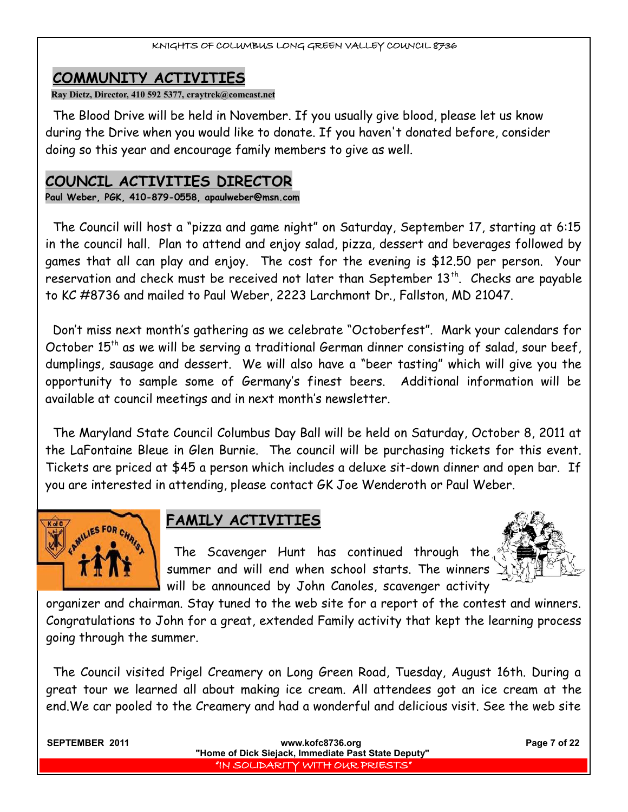# **COMMUNITY ACTIVITIES**

**Ray Dietz, Director, 410 592 5377, craytrek@comcast.net**

The Blood Drive will be held in November. If you usually give blood, please let us know during the Drive when you would like to donate. If you haven't donated before, consider doing so this year and encourage family members to give as well.

# **COUNCIL ACTIVITIES DIRECTOR**

**Paul Weber, PGK, 410-879-0558, apaulweber@msn.com**

The Council will host a "pizza and game night" on Saturday, September 17, starting at 6:15 in the council hall. Plan to attend and enjoy salad, pizza, dessert and beverages followed by games that all can play and enjoy. The cost for the evening is \$12.50 per person. Your reservation and check must be received not later than September 13<sup>th</sup>. Checks are payable to KC #8736 and mailed to Paul Weber, 2223 Larchmont Dr., Fallston, MD 21047.

Don't miss next month's gathering as we celebrate "Octoberfest". Mark your calendars for October  $15<sup>th</sup>$  as we will be serving a traditional German dinner consisting of salad, sour beef, dumplings, sausage and dessert. We will also have a "beer tasting" which will give you the opportunity to sample some of Germany's finest beers. Additional information will be available at council meetings and in next month's newsletter.

The Maryland State Council Columbus Day Ball will be held on Saturday, October 8, 2011 at the LaFontaine Bleue in Glen Burnie. The council will be purchasing tickets for this event. Tickets are priced at \$45 a person which includes a deluxe sit-down dinner and open bar. If you are interested in attending, please contact GK Joe Wenderoth or Paul Weber.



# **FAMILY ACTIVITIES**

The Scavenger Hunt has continued through the summer and will end when school starts. The winners will be announced by John Canoles, scavenger activity



organizer and chairman. Stay tuned to the web site for a report of the contest and winners. Congratulations to John for a great, extended Family activity that kept the learning process going through the summer.

The Council visited Prigel Creamery on Long Green Road, Tuesday, August 16th. During a great tour we learned all about making ice cream. All attendees got an ice cream at the end.We car pooled to the Creamery and had a wonderful and delicious visit. See the web site

| <b>SEPTEMBER 2011</b> | www.kofc8736.org<br>"Home of Dick Siejack, Immediate Past State Deputy" | Page 7 of 22 |
|-----------------------|-------------------------------------------------------------------------|--------------|
|                       | I "IN SOLIDARITY WITH OUR PRIESTS" I                                    |              |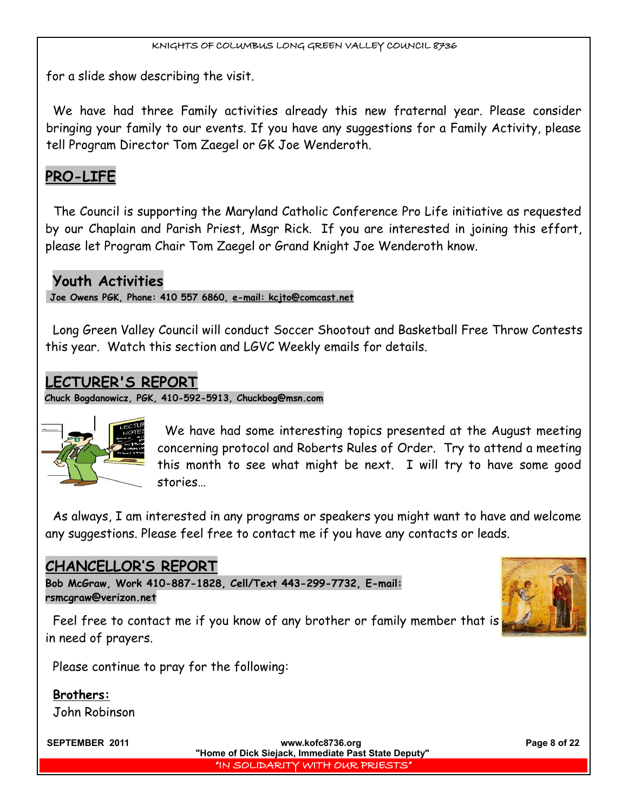for a slide show describing the visit.

We have had three Family activities already this new fraternal year. Please consider bringing your family to our events. If you have any suggestions for a Family Activity, please tell Program Director Tom Zaegel or GK Joe Wenderoth.

# **PRO-LIFE**

The Council is supporting the Maryland Catholic Conference Pro Life initiative as requested by our Chaplain and Parish Priest, Msgr Rick. If you are interested in joining this effort, please let Program Chair Tom Zaegel or Grand Knight Joe Wenderoth know.

# **Youth Activities**

 **Joe Owens PGK, Phone: 410 557 6860, e-mail: kcjto@comcast.net**

Long Green Valley Council will conduct Soccer Shootout and Basketball Free Throw Contests this year. Watch this section and LGVC Weekly emails for details.

# **LECTURER'S REPORT**

**Chuck Bogdanowicz, PGK, 410-592-5913, Chuckbog@msn.com**



We have had some interesting topics presented at the August meeting concerning protocol and Roberts Rules of Order. Try to attend a meeting this month to see what might be next. I will try to have some good stories…

As always, I am interested in any programs or speakers you might want to have and welcome any suggestions. Please feel free to contact me if you have any contacts or leads.

# **CHANCELLOR'S REPORT**

**Bob McGraw, Work 410-887-1828, Cell/Text 443-299-7732, E-mail: [rsmcgraw@verizon.net](mailto:rsmcgraw@verizon.net)**



Feel free to contact me if you know of any brother or family member that is in need of prayers.

Please continue to pray for the following:

**Brothers:** John Robinson

**SEPTEMBER 2011 WWW.kofc8736.org Page 8 of 22 "Home of Dick Siejack, Immediate Past State Deputy"**  "IN SOLIDARITY WITH OUR PRIESTS"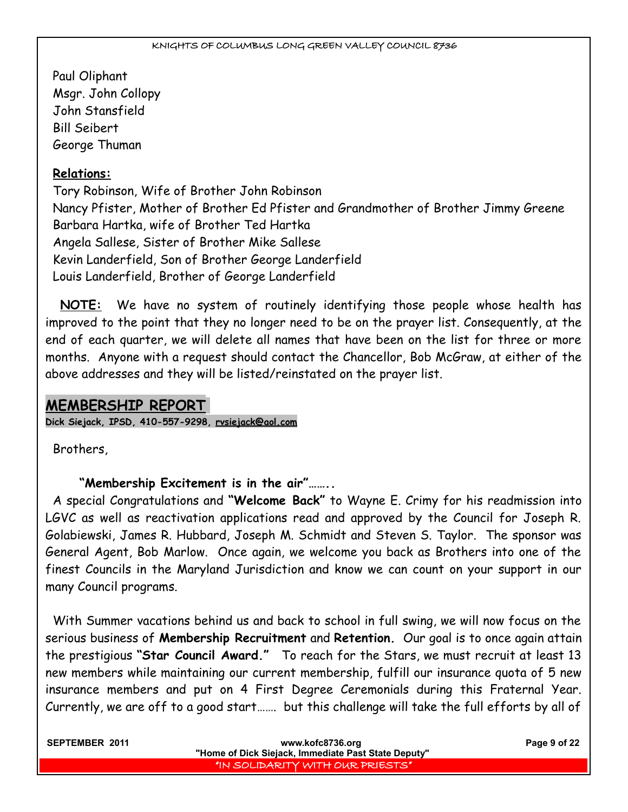Paul Oliphant Msgr. John Collopy John Stansfield Bill Seibert George Thuman

# **Relations:**

Tory Robinson, Wife of Brother John Robinson Nancy Pfister, Mother of Brother Ed Pfister and Grandmother of Brother Jimmy Greene Barbara Hartka, wife of Brother Ted Hartka Angela Sallese, Sister of Brother Mike Sallese Kevin Landerfield, Son of Brother George Landerfield Louis Landerfield, Brother of George Landerfield

**NOTE:** We have no system of routinely identifying those people whose health has improved to the point that they no longer need to be on the prayer list. Consequently, at the end of each quarter, we will delete all names that have been on the list for three or more months. Anyone with a request should contact the Chancellor, Bob McGraw, at either of the above addresses and they will be listed/reinstated on the prayer list.

# **MEMBERSHIP REPORT**

**Dick Siejack, IPSD, 410-557-9298, [rvsiejack@aol.com](mailto:rvsiejack@aol.com)**

Brothers,

 **"Membership Excitement is in the air"……..**

A special Congratulations and **"Welcome Back"** to Wayne E. Crimy for his readmission into LGVC as well as reactivation applications read and approved by the Council for Joseph R. Golabiewski, James R. Hubbard, Joseph M. Schmidt and Steven S. Taylor. The sponsor was General Agent, Bob Marlow. Once again, we welcome you back as Brothers into one of the finest Councils in the Maryland Jurisdiction and know we can count on your support in our many Council programs.

With Summer vacations behind us and back to school in full swing, we will now focus on the serious business of **Membership Recruitment** and **Retention.** Our goal is to once again attain the prestigious **"Star Council Award."** To reach for the Stars, we must recruit at least 13 new members while maintaining our current membership, fulfill our insurance quota of 5 new insurance members and put on 4 First Degree Ceremonials during this Fraternal Year. Currently, we are off to a good start……. but this challenge will take the full efforts by all of

| <b>SEPTEMBER 2011</b> | www.kofc8736.org                                    | Page 9 of 22 |
|-----------------------|-----------------------------------------------------|--------------|
|                       | "Home of Dick Siejack, Immediate Past State Deputy" |              |
|                       | I "IN SOLIDARITY WITH OUR PRIESTS" I                |              |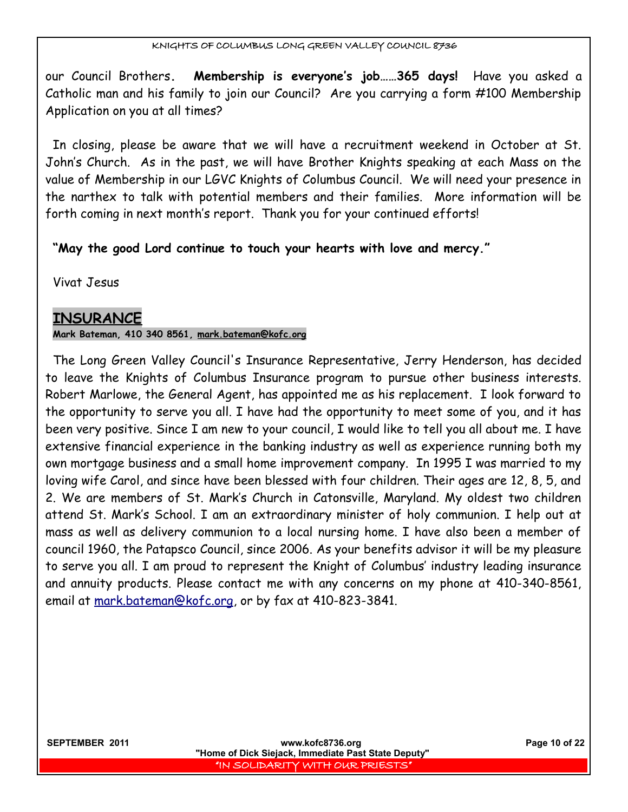our Council Brothers**. Membership is everyone's job……365 days!** Have you asked a Catholic man and his family to join our Council? Are you carrying a form #100 Membership Application on you at all times?

In closing, please be aware that we will have a recruitment weekend in October at St. John's Church. As in the past, we will have Brother Knights speaking at each Mass on the value of Membership in our LGVC Knights of Columbus Council. We will need your presence in the narthex to talk with potential members and their families. More information will be forth coming in next month's report. Thank you for your continued efforts!

**"May the good Lord continue to touch your hearts with love and mercy."**

Vivat Jesus

# **INSURANCE**

## **Mark Bateman, 410 340 8561, [mark.bateman@kofc.org](mailto:mark.bateman@kofc.org)**

The Long Green Valley Council's Insurance Representative, Jerry Henderson, has decided to leave the Knights of Columbus Insurance program to pursue other business interests. Robert Marlowe, the General Agent, has appointed me as his replacement. I look forward to the opportunity to serve you all. I have had the opportunity to meet some of you, and it has been very positive. Since I am new to your council, I would like to tell you all about me. I have extensive financial experience in the banking industry as well as experience running both my own mortgage business and a small home improvement company. In 1995 I was married to my loving wife Carol, and since have been blessed with four children. Their ages are 12, 8, 5, and 2. We are members of St. Mark's Church in Catonsville, Maryland. My oldest two children attend St. Mark's School. I am an extraordinary minister of holy communion. I help out at mass as well as delivery communion to a local nursing home. I have also been a member of council 1960, the Patapsco Council, since 2006. As your benefits advisor it will be my pleasure to serve you all. I am proud to represent the Knight of Columbus' industry leading insurance and annuity products. Please contact me with any concerns on my phone at 410-340-8561, email at mark.bateman@kofc.org, or by fax at 410-823-3841.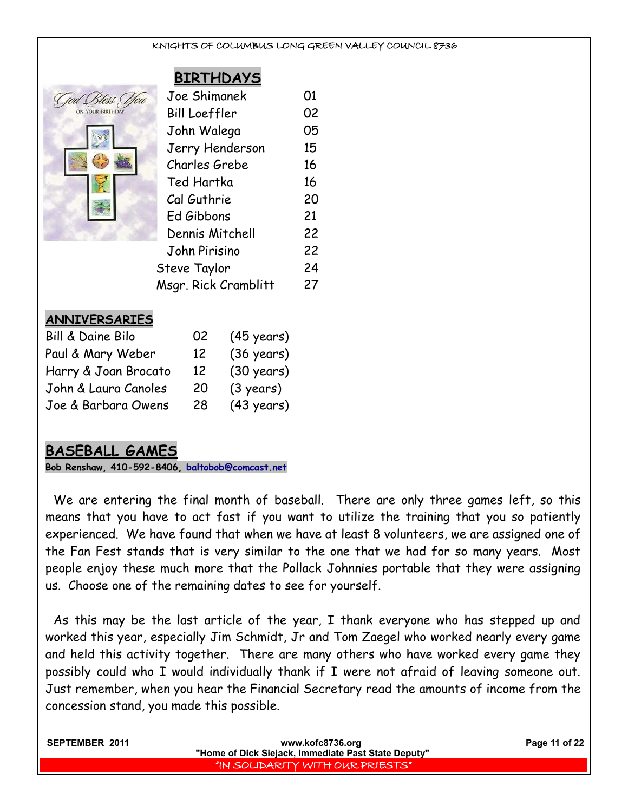# **BIRTHDAYS**

| 'Bless<br>ON YOUR BIRTHDAY |
|----------------------------|
|                            |
|                            |
|                            |
|                            |
|                            |

| Joe Shimanek         | 01 |
|----------------------|----|
| <b>Bill Loeffler</b> | 02 |
| John Walega          | 05 |
| Jerry Henderson      | 15 |
| Charles Grebe        | 16 |
| Ted Hartka           | 16 |
| Cal Guthrie          | 20 |
| Ed Gibbons           | 21 |
| Dennis Mitchell      | 22 |
| John Pirisino        | 22 |
| Steve Taylor         | 24 |
| Msgr. Rick Cramblitt | 27 |
|                      |    |

#### **ANNIVERSARIES**

| Bill & Daine Bilo    | 02 | $(45 \text{ years})$ |
|----------------------|----|----------------------|
| Paul & Mary Weber    | 12 | $(36 \text{ years})$ |
| Harry & Joan Brocato | 12 | $(30 \text{ years})$ |
| John & Laura Canoles | 20 | (3 years)            |
| Joe & Barbara Owens  | 28 | $(43 \text{ years})$ |

# **BASEBALL GAMES**

**Bob Renshaw, 410-592-8406, [baltobob@comcast.net](mailto:baltobob@comcast.net)**

We are entering the final month of baseball. There are only three games left, so this means that you have to act fast if you want to utilize the training that you so patiently experienced. We have found that when we have at least 8 volunteers, we are assigned one of the Fan Fest stands that is very similar to the one that we had for so many years. Most people enjoy these much more that the Pollack Johnnies portable that they were assigning us. Choose one of the remaining dates to see for yourself.

As this may be the last article of the year, I thank everyone who has stepped up and worked this year, especially Jim Schmidt, Jr and Tom Zaegel who worked nearly every game and held this activity together. There are many others who have worked every game they possibly could who I would individually thank if I were not afraid of leaving someone out. Just remember, when you hear the Financial Secretary read the amounts of income from the concession stand, you made this possible.

| SEPTEMBER 2011 | www.kofc8736.org                                    | Page 11 of 22 |
|----------------|-----------------------------------------------------|---------------|
|                | "Home of Dick Siejack, Immediate Past State Deputy" |               |
|                | I'IN SOLIDARITY WITH OUR PRIESTS"                   |               |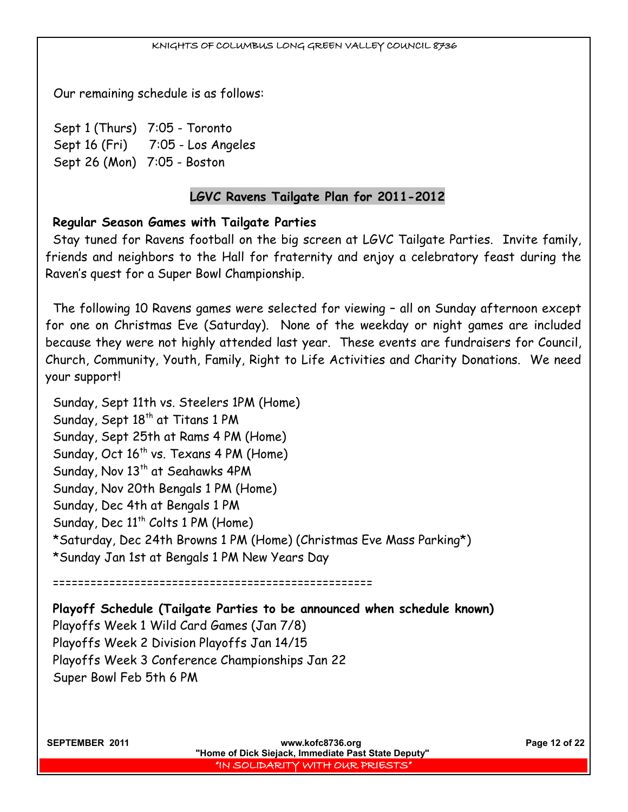Our remaining schedule is as follows:

Sept 1 (Thurs) 7:05 - Toronto Sept 16 (Fri) 7:05 - Los Angeles Sept 26 (Mon) 7:05 - Boston

## **LGVC Ravens Tailgate Plan for 2011-2012**

## **Regular Season Games with Tailgate Parties**

Stay tuned for Ravens football on the big screen at LGVC Tailgate Parties. Invite family, friends and neighbors to the Hall for fraternity and enjoy a celebratory feast during the Raven's quest for a Super Bowl Championship.

The following 10 Ravens games were selected for viewing – all on Sunday afternoon except for one on Christmas Eve (Saturday). None of the weekday or night games are included because they were not highly attended last year. These events are fundraisers for Council, Church, Community, Youth, Family, Right to Life Activities and Charity Donations. We need your support!

Sunday, Sept 11th vs. Steelers 1PM (Home) Sunday, Sept 18<sup>th</sup> at Titans 1 PM Sunday, Sept 25th at Rams 4 PM (Home) Sunday, Oct  $16^{th}$  vs. Texans 4 PM (Home) Sunday, Nov 13<sup>th</sup> at Seahawks 4PM Sunday, Nov 20th Bengals 1 PM (Home) Sunday, Dec 4th at Bengals 1 PM Sunday, Dec  $11^{th}$  Colts 1 PM (Home) \*Saturday, Dec 24th Browns 1 PM (Home) (Christmas Eve Mass Parking\*) \*Sunday Jan 1st at Bengals 1 PM New Years Day

===================================================

**Playoff Schedule (Tailgate Parties to be announced when schedule known)** Playoffs Week 1 Wild Card Games (Jan 7/8) Playoffs Week 2 Division Playoffs Jan 14/15 Playoffs Week 3 Conference Championships Jan 22 Super Bowl Feb 5th 6 PM

**SEPTEMBER 2011 www.kofc8736.org Page 12 of 22 "Home of Dick Siejack, Immediate Past State Deputy"**  "IN SOLIDARITY WITH OUR PRIESTS"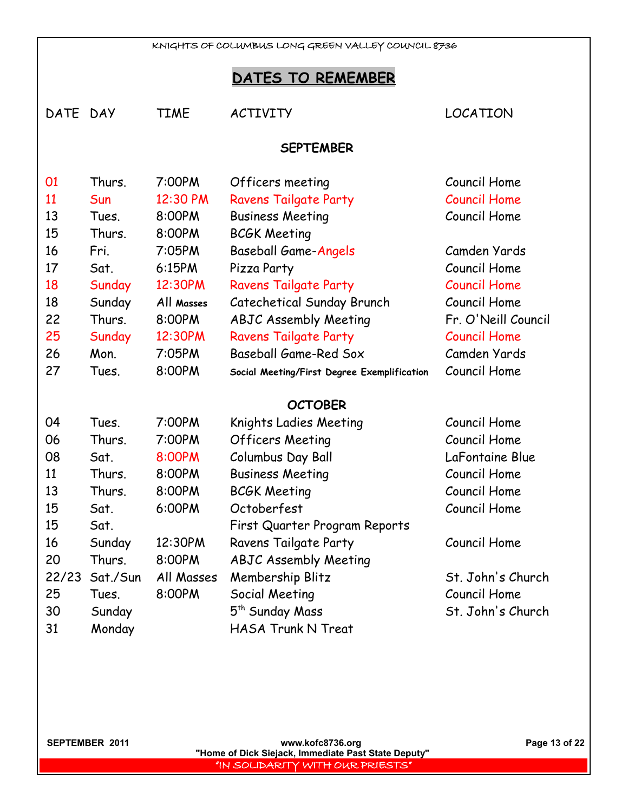# **DATES TO REMEMBER**

| DATE DAY         |          | <b>TIME</b> | <b>ACTIVITY</b>                             | LOCATION            |
|------------------|----------|-------------|---------------------------------------------|---------------------|
| <b>SEPTEMBER</b> |          |             |                                             |                     |
| 01               | Thurs.   | 7:00PM      | Officers meeting                            | Council Home        |
| 11               | Sun      | 12:30 PM    | <b>Ravens Tailgate Party</b>                | <b>Council Home</b> |
| 13               | Tues.    | 8:00PM      | <b>Business Meeting</b>                     | Council Home        |
| 15               | Thurs.   | 8:00PM      | <b>BCGK Meeting</b>                         |                     |
| 16               | Fri.     | 7:05PM      | <b>Baseball Game-Angels</b>                 | Camden Yards        |
| 17               | Sat.     | 6:15PM      | Pizza Party                                 | Council Home        |
| 18               | Sunday   | 12:30PM     | <b>Ravens Tailgate Party</b>                | <b>Council Home</b> |
| 18               | Sunday   | All Masses  | Catechetical Sunday Brunch                  | Council Home        |
| 22               | Thurs.   | 8:00PM      | <b>ABJC Assembly Meeting</b>                | Fr. O'Neill Council |
| 25               | Sunday   | 12:30PM     | <b>Ravens Tailgate Party</b>                | <b>Council Home</b> |
| 26               | Mon.     | 7:05PM      | Baseball Game-Red Sox                       | Camden Yards        |
| 27               | Tues.    | 8:00PM      | Social Meeting/First Degree Exemplification | Council Home        |
|                  |          |             | <b>OCTOBER</b>                              |                     |
| 04               | Tues.    | 7:00PM      | Knights Ladies Meeting                      | Council Home        |
| 06               | Thurs.   | 7:00PM      | <b>Officers Meeting</b>                     | Council Home        |
| 08               | Sat.     | 8:00PM      | Columbus Day Ball                           | LaFontaine Blue     |
| 11               | Thurs.   | 8:00PM      | <b>Business Meeting</b>                     | Council Home        |
| 13               | Thurs.   | 8:00PM      | <b>BCGK Meeting</b>                         | Council Home        |
| 15               | Sat.     | 6:00PM      | Octoberfest                                 | Council Home        |
| 15               | Sat.     |             | First Quarter Program Reports               |                     |
| 16               | Sunday   | 12:30PM     | Ravens Tailgate Party                       | Council Home        |
| 20               | Thurs.   | 8:00PM      | <b>ABJC Assembly Meeting</b>                |                     |
| 22/23            | Sat./Sun | All Masses  | Membership Blitz                            | St. John's Church   |
| 25               | Tues.    | 8:00PM      | Social Meeting                              | Council Home        |
| 30               | Sunday   |             | 5 <sup>th</sup> Sunday Mass                 | St. John's Church   |
| 31               | Monday   |             | <b>HASA Trunk N Treat</b>                   |                     |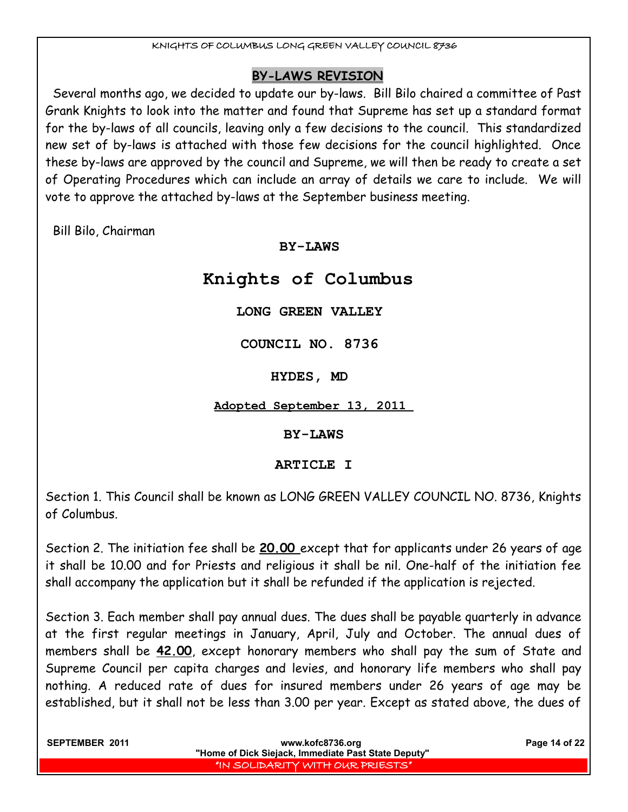# **BY-LAWS REVISION**

Several months ago, we decided to update our by-laws. Bill Bilo chaired a committee of Past Grank Knights to look into the matter and found that Supreme has set up a standard format for the by-laws of all councils, leaving only a few decisions to the council. This standardized new set of by-laws is attached with those few decisions for the council highlighted. Once these by-laws are approved by the council and Supreme, we will then be ready to create a set of Operating Procedures which can include an array of details we care to include. We will vote to approve the attached by-laws at the September business meeting.

Bill Bilo, Chairman

# **BY-LAWS**

# **Knights of Columbus**

# **LONG GREEN VALLEY**

**COUNCIL NO. 8736** 

**HYDES, MD** 

**Adopted September 13, 2011** 

# **BY-LAWS**

# **ARTICLE I**

Section 1. This Council shall be known as LONG GREEN VALLEY COUNCIL NO. 8736, Knights of Columbus.

Section 2. The initiation fee shall be **20.00** except that for applicants under 26 years of age it shall be 10.00 and for Priests and religious it shall be nil. One-half of the initiation fee shall accompany the application but it shall be refunded if the application is rejected.

Section 3. Each member shall pay annual dues. The dues shall be payable quarterly in advance at the first regular meetings in January, April, July and October. The annual dues of members shall be **42.00**, except honorary members who shall pay the sum of State and Supreme Council per capita charges and levies, and honorary life members who shall pay nothing. A reduced rate of dues for insured members under 26 years of age may be established, but it shall not be less than 3.00 per year. Except as stated above, the dues of

| SEPTEMBER 2011 | www.kofc8736.org<br>"Home of Dick Siejack, Immediate Past State Deputy" | Page 14 of 22 |
|----------------|-------------------------------------------------------------------------|---------------|
|                | I'IN SOLIDARITY WITH OUR PRIESTS"                                       |               |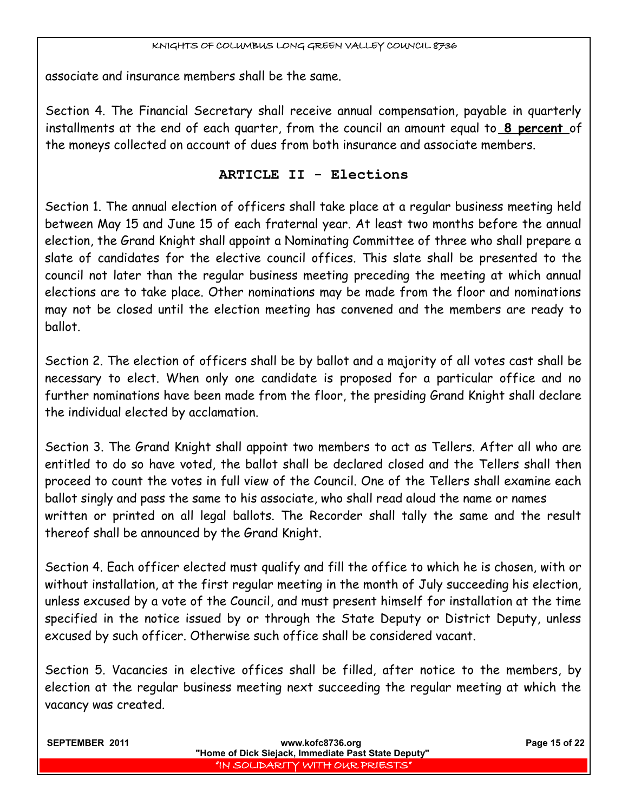associate and insurance members shall be the same.

Section 4. The Financial Secretary shall receive annual compensation, payable in quarterly installments at the end of each quarter, from the council an amount equal to **8 percent** of the moneys collected on account of dues from both insurance and associate members.

# **ARTICLE II - Elections**

Section 1. The annual election of officers shall take place at a regular business meeting held between May 15 and June 15 of each fraternal year. At least two months before the annual election, the Grand Knight shall appoint a Nominating Committee of three who shall prepare a slate of candidates for the elective council offices. This slate shall be presented to the council not later than the regular business meeting preceding the meeting at which annual elections are to take place. Other nominations may be made from the floor and nominations may not be closed until the election meeting has convened and the members are ready to ballot.

Section 2. The election of officers shall be by ballot and a majority of all votes cast shall be necessary to elect. When only one candidate is proposed for a particular office and no further nominations have been made from the floor, the presiding Grand Knight shall declare the individual elected by acclamation.

Section 3. The Grand Knight shall appoint two members to act as Tellers. After all who are entitled to do so have voted, the ballot shall be declared closed and the Tellers shall then proceed to count the votes in full view of the Council. One of the Tellers shall examine each ballot singly and pass the same to his associate, who shall read aloud the name or names written or printed on all legal ballots. The Recorder shall tally the same and the result thereof shall be announced by the Grand Knight.

Section 4. Each officer elected must qualify and fill the office to which he is chosen, with or without installation, at the first regular meeting in the month of July succeeding his election, unless excused by a vote of the Council, and must present himself for installation at the time specified in the notice issued by or through the State Deputy or District Deputy, unless excused by such officer. Otherwise such office shall be considered vacant.

Section 5. Vacancies in elective offices shall be filled, after notice to the members, by election at the regular business meeting next succeeding the regular meeting at which the vacancy was created.

| <b>SEPTEMBER 2011</b> | www.kofc8736.org<br>"Home of Dick Siejack, Immediate Past State Deputy" | Page 15 of 22 |
|-----------------------|-------------------------------------------------------------------------|---------------|
|                       | I "IN SOLIDARITY WITH OUR PRIESTS" I                                    |               |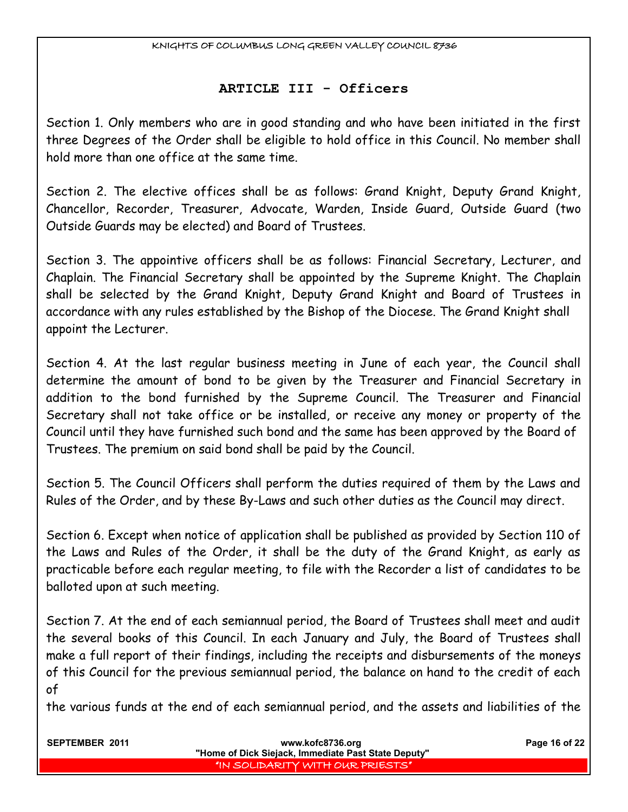### **ARTICLE III - Officers**

Section 1. Only members who are in good standing and who have been initiated in the first three Degrees of the Order shall be eligible to hold office in this Council. No member shall hold more than one office at the same time.

Section 2. The elective offices shall be as follows: Grand Knight, Deputy Grand Knight, Chancellor, Recorder, Treasurer, Advocate, Warden, Inside Guard, Outside Guard (two Outside Guards may be elected) and Board of Trustees.

Section 3. The appointive officers shall be as follows: Financial Secretary, Lecturer, and Chaplain. The Financial Secretary shall be appointed by the Supreme Knight. The Chaplain shall be selected by the Grand Knight, Deputy Grand Knight and Board of Trustees in accordance with any rules established by the Bishop of the Diocese. The Grand Knight shall appoint the Lecturer.

Section 4. At the last regular business meeting in June of each year, the Council shall determine the amount of bond to be given by the Treasurer and Financial Secretary in addition to the bond furnished by the Supreme Council. The Treasurer and Financial Secretary shall not take office or be installed, or receive any money or property of the Council until they have furnished such bond and the same has been approved by the Board of Trustees. The premium on said bond shall be paid by the Council.

Section 5. The Council Officers shall perform the duties required of them by the Laws and Rules of the Order, and by these By-Laws and such other duties as the Council may direct.

Section 6. Except when notice of application shall be published as provided by Section 110 of the Laws and Rules of the Order, it shall be the duty of the Grand Knight, as early as practicable before each regular meeting, to file with the Recorder a list of candidates to be balloted upon at such meeting.

Section 7. At the end of each semiannual period, the Board of Trustees shall meet and audit the several books of this Council. In each January and July, the Board of Trustees shall make a full report of their findings, including the receipts and disbursements of the moneys of this Council for the previous semiannual period, the balance on hand to the credit of each of

the various funds at the end of each semiannual period, and the assets and liabilities of the

| <b>SEPTEMBER 2011</b> | www.kofc8736.org                                    | Page 16 of 22 |
|-----------------------|-----------------------------------------------------|---------------|
|                       | "Home of Dick Siejack, Immediate Past State Deputy" |               |
|                       | I "IN SOLIDARITY WITH OUR PRIESTS" I                |               |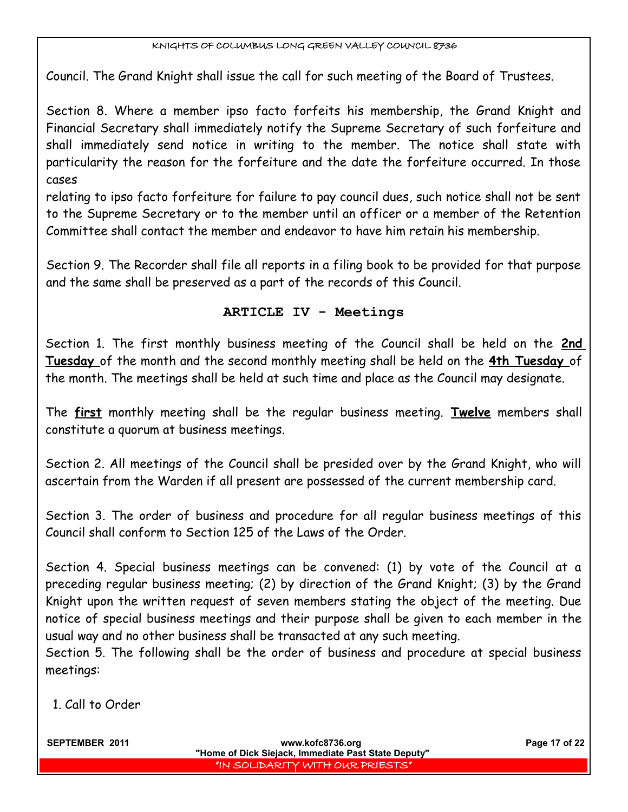Council. The Grand Knight shall issue the call for such meeting of the Board of Trustees.

Section 8. Where a member ipso facto forfeits his membership, the Grand Knight and Financial Secretary shall immediately notify the Supreme Secretary of such forfeiture and shall immediately send notice in writing to the member. The notice shall state with particularity the reason for the forfeiture and the date the forfeiture occurred. In those cases

relating to ipso facto forfeiture for failure to pay council dues, such notice shall not be sent to the Supreme Secretary or to the member until an officer or a member of the Retention Committee shall contact the member and endeavor to have him retain his membership.

Section 9. The Recorder shall file all reports in a filing book to be provided for that purpose and the same shall be preserved as a part of the records of this Council.

# **ARTICLE IV - Meetings**

Section 1. The first monthly business meeting of the Council shall be held on the **2nd Tuesday** of the month and the second monthly meeting shall be held on the **4th Tuesday** of the month. The meetings shall be held at such time and place as the Council may designate.

The **first** monthly meeting shall be the regular business meeting. **Twelve** members shall constitute a quorum at business meetings.

Section 2. All meetings of the Council shall be presided over by the Grand Knight, who will ascertain from the Warden if all present are possessed of the current membership card.

Section 3. The order of business and procedure for all regular business meetings of this Council shall conform to Section 125 of the Laws of the Order.

Section 4. Special business meetings can be convened: (1) by vote of the Council at a preceding regular business meeting; (2) by direction of the Grand Knight; (3) by the Grand Knight upon the written request of seven members stating the object of the meeting. Due notice of special business meetings and their purpose shall be given to each member in the usual way and no other business shall be transacted at any such meeting.

Section 5. The following shall be the order of business and procedure at special business meetings:

1. Call to Order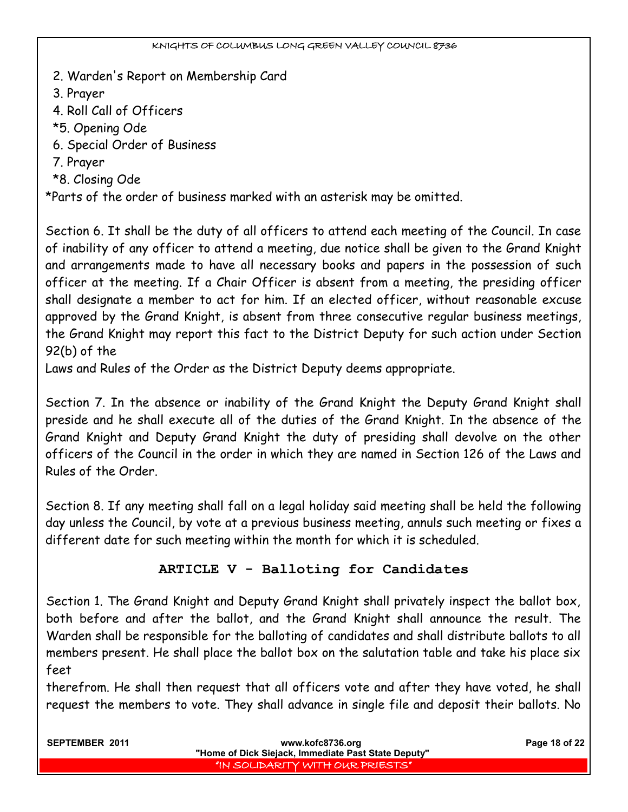- 2. Warden's Report on Membership Card
- 3. Prayer
- 4. Roll Call of Officers
- \*5. Opening Ode
- 6. Special Order of Business
- 7. Prayer
- \*8. Closing Ode

\*Parts of the order of business marked with an asterisk may be omitted.

Section 6. It shall be the duty of all officers to attend each meeting of the Council. In case of inability of any officer to attend a meeting, due notice shall be given to the Grand Knight and arrangements made to have all necessary books and papers in the possession of such officer at the meeting. If a Chair Officer is absent from a meeting, the presiding officer shall designate a member to act for him. If an elected officer, without reasonable excuse approved by the Grand Knight, is absent from three consecutive regular business meetings, the Grand Knight may report this fact to the District Deputy for such action under Section 92(b) of the

Laws and Rules of the Order as the District Deputy deems appropriate.

Section 7. In the absence or inability of the Grand Knight the Deputy Grand Knight shall preside and he shall execute all of the duties of the Grand Knight. In the absence of the Grand Knight and Deputy Grand Knight the duty of presiding shall devolve on the other officers of the Council in the order in which they are named in Section 126 of the Laws and Rules of the Order.

Section 8. If any meeting shall fall on a legal holiday said meeting shall be held the following day unless the Council, by vote at a previous business meeting, annuls such meeting or fixes a different date for such meeting within the month for which it is scheduled.

# **ARTICLE V - Balloting for Candidates**

Section 1. The Grand Knight and Deputy Grand Knight shall privately inspect the ballot box, both before and after the ballot, and the Grand Knight shall announce the result. The Warden shall be responsible for the balloting of candidates and shall distribute ballots to all members present. He shall place the ballot box on the salutation table and take his place six feet

therefrom. He shall then request that all officers vote and after they have voted, he shall request the members to vote. They shall advance in single file and deposit their ballots. No

| <b>SEPTEMBER 2011</b> | www.kofc8736.org                                    | Page 18 of 22 |
|-----------------------|-----------------------------------------------------|---------------|
|                       | "Home of Dick Siejack, Immediate Past State Deputy" |               |
|                       | I "IN SOLIDARITY WITH OUR PRIESTS"                  |               |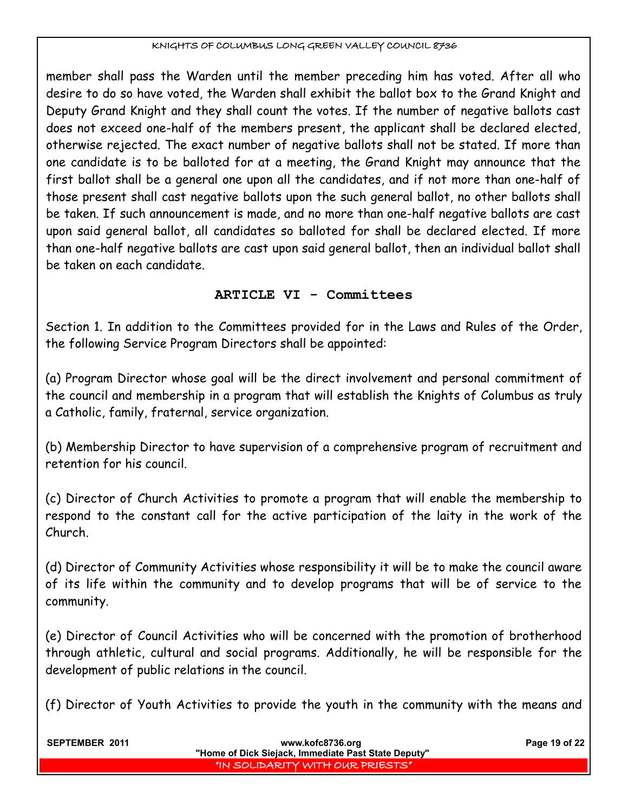member shall pass the Warden until the member preceding him has voted. After all who desire to do so have voted, the Warden shall exhibit the ballot box to the Grand Knight and Deputy Grand Knight and they shall count the votes. If the number of negative ballots cast does not exceed one-half of the members present, the applicant shall be declared elected, otherwise rejected. The exact number of negative ballots shall not be stated. If more than one candidate is to be balloted for at a meeting, the Grand Knight may announce that the first ballot shall be a general one upon all the candidates, and if not more than one-half of those present shall cast negative ballots upon the such general ballot, no other ballots shall be taken. If such announcement is made, and no more than one-half negative ballots are cast upon said general ballot, all candidates so balloted for shall be declared elected. If more than one-half negative ballots are cast upon said general ballot, then an individual ballot shall be taken on each candidate.

# **ARTICLE VI - Committees**

Section 1. In addition to the Committees provided for in the Laws and Rules of the Order, the following Service Program Directors shall be appointed:

(a) Program Director whose goal will be the direct involvement and personal commitment of the council and membership in a program that will establish the Knights of Columbus as truly a Catholic, family, fraternal, service organization.

(b) Membership Director to have supervision of a comprehensive program of recruitment and retention for his council.

(c) Director of Church Activities to promote a program that will enable the membership to respond to the constant call for the active participation of the laity in the work of the Church.

(d) Director of Community Activities whose responsibility it will be to make the council aware of its life within the community and to develop programs that will be of service to the community.

(e) Director of Council Activities who will be concerned with the promotion of brotherhood through athletic, cultural and social programs. Additionally, he will be responsible for the development of public relations in the council.

(f) Director of Youth Activities to provide the youth in the community with the means and

| <b>SEPTEMBER 2011</b> | www.kofc8736.org<br>"Home of Dick Siejack, Immediate Past State Deputy" | Page 19 of 22 |
|-----------------------|-------------------------------------------------------------------------|---------------|
|                       | I "IN SOLIDARITY WITH OUR PRIESTS" I                                    |               |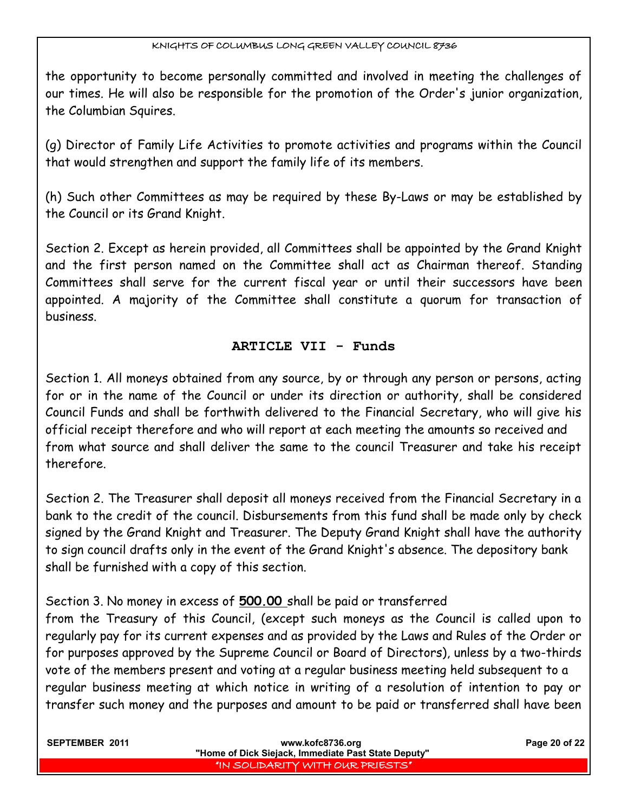the opportunity to become personally committed and involved in meeting the challenges of our times. He will also be responsible for the promotion of the Order's junior organization, the Columbian Squires.

(g) Director of Family Life Activities to promote activities and programs within the Council that would strengthen and support the family life of its members.

(h) Such other Committees as may be required by these By-Laws or may be established by the Council or its Grand Knight.

Section 2. Except as herein provided, all Committees shall be appointed by the Grand Knight and the first person named on the Committee shall act as Chairman thereof. Standing Committees shall serve for the current fiscal year or until their successors have been appointed. A majority of the Committee shall constitute a quorum for transaction of business.

# **ARTICLE VII - Funds**

Section 1. All moneys obtained from any source, by or through any person or persons, acting for or in the name of the Council or under its direction or authority, shall be considered Council Funds and shall be forthwith delivered to the Financial Secretary, who will give his official receipt therefore and who will report at each meeting the amounts so received and from what source and shall deliver the same to the council Treasurer and take his receipt therefore.

Section 2. The Treasurer shall deposit all moneys received from the Financial Secretary in a bank to the credit of the council. Disbursements from this fund shall be made only by check signed by the Grand Knight and Treasurer. The Deputy Grand Knight shall have the authority to sign council drafts only in the event of the Grand Knight's absence. The depository bank shall be furnished with a copy of this section.

Section 3. No money in excess of **500.00** shall be paid or transferred

from the Treasury of this Council, (except such moneys as the Council is called upon to regularly pay for its current expenses and as provided by the Laws and Rules of the Order or for purposes approved by the Supreme Council or Board of Directors), unless by a two-thirds vote of the members present and voting at a regular business meeting held subsequent to a regular business meeting at which notice in writing of a resolution of intention to pay or transfer such money and the purposes and amount to be paid or transferred shall have been

| <b>SEPTEMBER 2011</b> | www.kofc8736.org                                    | Page 20 of 22 |
|-----------------------|-----------------------------------------------------|---------------|
|                       | "Home of Dick Siejack, Immediate Past State Deputy" |               |
|                       | I'IN SOLIDARITY WITH OUR PRIESTS"                   |               |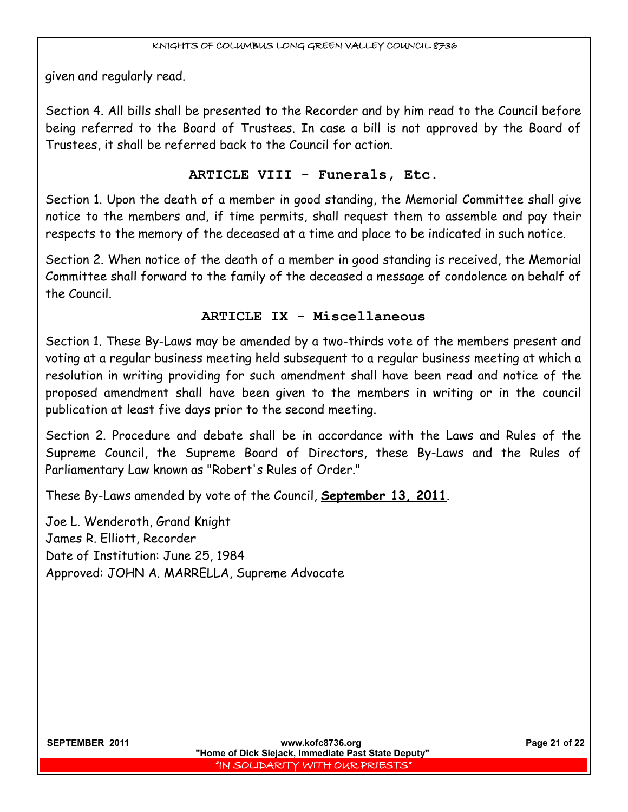given and regularly read.

Section 4. All bills shall be presented to the Recorder and by him read to the Council before being referred to the Board of Trustees. In case a bill is not approved by the Board of Trustees, it shall be referred back to the Council for action.

# **ARTICLE VIII - Funerals, Etc.**

Section 1. Upon the death of a member in good standing, the Memorial Committee shall give notice to the members and, if time permits, shall request them to assemble and pay their respects to the memory of the deceased at a time and place to be indicated in such notice.

Section 2. When notice of the death of a member in good standing is received, the Memorial Committee shall forward to the family of the deceased a message of condolence on behalf of the Council.

# **ARTICLE IX - Miscellaneous**

Section 1. These By-Laws may be amended by a two-thirds vote of the members present and voting at a regular business meeting held subsequent to a regular business meeting at which a resolution in writing providing for such amendment shall have been read and notice of the proposed amendment shall have been given to the members in writing or in the council publication at least five days prior to the second meeting.

Section 2. Procedure and debate shall be in accordance with the Laws and Rules of the Supreme Council, the Supreme Board of Directors, these By-Laws and the Rules of Parliamentary Law known as "Robert's Rules of Order."

These By-Laws amended by vote of the Council, **September 13, 2011**.

Joe L. Wenderoth, Grand Knight James R. Elliott, Recorder Date of Institution: June 25, 1984 Approved: JOHN A. MARRELLA, Supreme Advocate